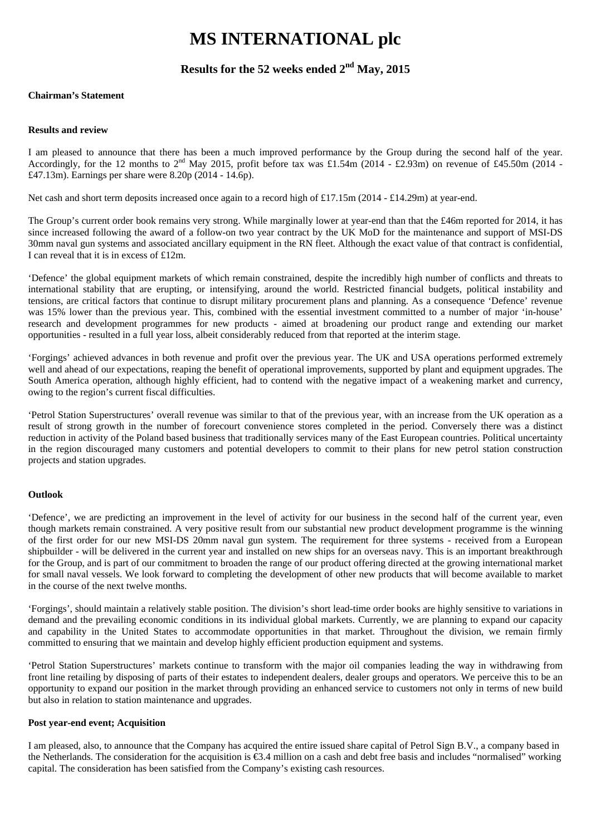### **MS INTERNATIONAL plc**

### **Results for the 52 weeks ended 2nd May, 2015**

#### **Chairman's Statement**

#### **Results and review**

I am pleased to announce that there has been a much improved performance by the Group during the second half of the year. Accordingly, for the 12 months to  $2^{nd}$  May 2015, profit before tax was £1.54m (2014 - £2.93m) on revenue of £45.50m (2014 -£47.13m). Earnings per share were 8.20p (2014 - 14.6p).

Net cash and short term deposits increased once again to a record high of £17.15m (2014 - £14.29m) at year-end.

The Group's current order book remains very strong. While marginally lower at year-end than that the £46m reported for 2014, it has since increased following the award of a follow-on two year contract by the UK MoD for the maintenance and support of MSI-DS 30mm naval gun systems and associated ancillary equipment in the RN fleet. Although the exact value of that contract is confidential, I can reveal that it is in excess of £12m.

'Defence' the global equipment markets of which remain constrained, despite the incredibly high number of conflicts and threats to international stability that are erupting, or intensifying, around the world. Restricted financial budgets, political instability and tensions, are critical factors that continue to disrupt military procurement plans and planning. As a consequence 'Defence' revenue was 15% lower than the previous year. This, combined with the essential investment committed to a number of major 'in-house' research and development programmes for new products - aimed at broadening our product range and extending our market opportunities - resulted in a full year loss, albeit considerably reduced from that reported at the interim stage.

'Forgings' achieved advances in both revenue and profit over the previous year. The UK and USA operations performed extremely well and ahead of our expectations, reaping the benefit of operational improvements, supported by plant and equipment upgrades. The South America operation, although highly efficient, had to contend with the negative impact of a weakening market and currency, owing to the region's current fiscal difficulties.

'Petrol Station Superstructures' overall revenue was similar to that of the previous year, with an increase from the UK operation as a result of strong growth in the number of forecourt convenience stores completed in the period. Conversely there was a distinct reduction in activity of the Poland based business that traditionally services many of the East European countries. Political uncertainty in the region discouraged many customers and potential developers to commit to their plans for new petrol station construction projects and station upgrades.

#### **Outlook**

'Defence', we are predicting an improvement in the level of activity for our business in the second half of the current year, even though markets remain constrained. A very positive result from our substantial new product development programme is the winning of the first order for our new MSI-DS 20mm naval gun system. The requirement for three systems - received from a European shipbuilder - will be delivered in the current year and installed on new ships for an overseas navy. This is an important breakthrough for the Group, and is part of our commitment to broaden the range of our product offering directed at the growing international market for small naval vessels. We look forward to completing the development of other new products that will become available to market in the course of the next twelve months.

'Forgings', should maintain a relatively stable position. The division's short lead-time order books are highly sensitive to variations in demand and the prevailing economic conditions in its individual global markets. Currently, we are planning to expand our capacity and capability in the United States to accommodate opportunities in that market. Throughout the division, we remain firmly committed to ensuring that we maintain and develop highly efficient production equipment and systems.

'Petrol Station Superstructures' markets continue to transform with the major oil companies leading the way in withdrawing from front line retailing by disposing of parts of their estates to independent dealers, dealer groups and operators. We perceive this to be an opportunity to expand our position in the market through providing an enhanced service to customers not only in terms of new build but also in relation to station maintenance and upgrades.

#### **Post year-end event; Acquisition**

I am pleased, also, to announce that the Company has acquired the entire issued share capital of Petrol Sign B.V., a company based in the Netherlands. The consideration for the acquisition is €3.4 million on a cash and debt free basis and includes "normalised" working capital. The consideration has been satisfied from the Company's existing cash resources.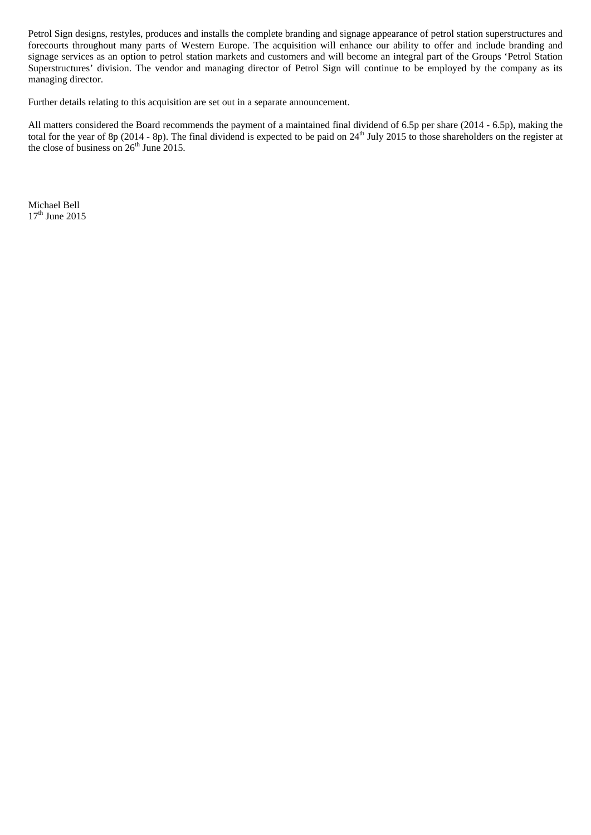Petrol Sign designs, restyles, produces and installs the complete branding and signage appearance of petrol station superstructures and forecourts throughout many parts of Western Europe. The acquisition will enhance our ability to offer and include branding and signage services as an option to petrol station markets and customers and will become an integral part of the Groups 'Petrol Station Superstructures' division. The vendor and managing director of Petrol Sign will continue to be employed by the company as its managing director.

Further details relating to this acquisition are set out in a separate announcement.

All matters considered the Board recommends the payment of a maintained final dividend of 6.5p per share (2014 - 6.5p), making the total for the year of 8p (2014 - 8p). The final dividend is expected to be paid on  $24<sup>th</sup>$  July 2015 to those shareholders on the register at the close of business on  $26<sup>th</sup>$  June 2015.

Michael Bell  $17<sup>th</sup>$  June 2015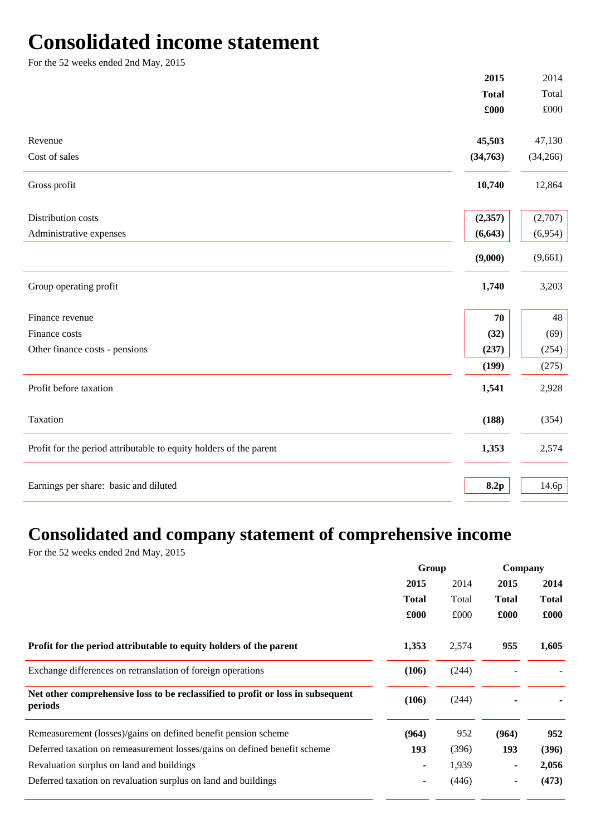### **Consolidated income statement**

For the 52 weeks ended 2nd May, 2015

|                                                                    | 2015         | 2014         |
|--------------------------------------------------------------------|--------------|--------------|
|                                                                    | <b>Total</b> | Total        |
|                                                                    | £000         | $\pounds000$ |
| Revenue                                                            | 45,503       | 47,130       |
| Cost of sales                                                      | (34,763)     | (34,266)     |
| Gross profit                                                       | 10,740       | 12,864       |
| Distribution costs                                                 | (2,357)      | (2,707)      |
| Administrative expenses                                            | (6, 643)     | (6,954)      |
|                                                                    | (9,000)      | (9,661)      |
| Group operating profit                                             | 1,740        | 3,203        |
| Finance revenue                                                    | 70           | 48           |
| Finance costs                                                      | (32)         | (69)         |
| Other finance costs - pensions                                     | (237)        | (254)        |
|                                                                    | (199)        | (275)        |
| Profit before taxation                                             | 1,541        | 2,928        |
| Taxation                                                           | (188)        | (354)        |
| Profit for the period attributable to equity holders of the parent | 1,353        | 2,574        |
|                                                                    |              |              |
| Earnings per share: basic and diluted                              | 8.2p         | 14.6p        |

### **Consolidated and company statement of comprehensive income**

For the 52 weeks ended 2nd May, 2015

|                                                                                            | Group        |       | Company      |              |
|--------------------------------------------------------------------------------------------|--------------|-------|--------------|--------------|
|                                                                                            | 2015         | 2014  | 2015         | 2014         |
|                                                                                            | <b>Total</b> | Total | <b>Total</b> | <b>Total</b> |
|                                                                                            | £000         | £000  | £000         | £000         |
| Profit for the period attributable to equity holders of the parent                         | 1,353        | 2,574 | 955          | 1,605        |
| Exchange differences on retranslation of foreign operations                                | (106)        | (244) |              |              |
| Net other comprehensive loss to be reclassified to profit or loss in subsequent<br>periods | (106)        | (244) |              |              |
| Remeasurement (losses)/gains on defined benefit pension scheme                             | (964)        | 952   | (964)        | 952          |
| Deferred taxation on remeasurement losses/gains on defined benefit scheme                  | 193          | (396) | 193          | (396)        |
| Revaluation surplus on land and buildings                                                  |              | 1,939 |              | 2,056        |
| Deferred taxation on revaluation surplus on land and buildings                             |              | (446) |              | (473)        |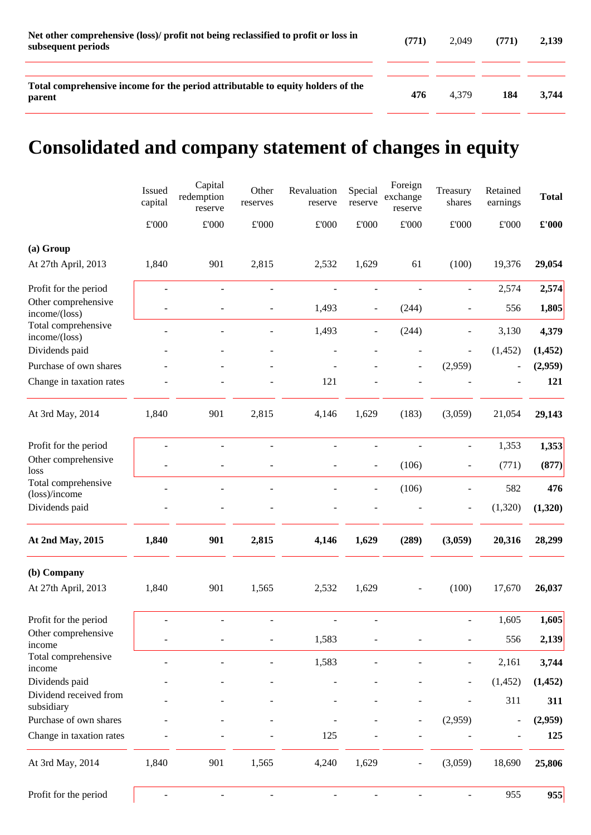| Net other comprehensive (loss)/ profit not being reclassified to profit or loss in<br>subsequent periods | (771) | 2.049 | (771) | 2.139 |
|----------------------------------------------------------------------------------------------------------|-------|-------|-------|-------|
| Total comprehensive income for the period attributable to equity holders of the<br>parent                | 476   | 4.379 | 184   | 3.744 |

# **Consolidated and company statement of changes in equity**

|                                      | Issued<br>capital | Capital<br>redemption<br>reserve | Other<br>reserves        | Revaluation<br>reserve   | Special<br>reserve       | Foreign<br>exchange<br>reserve | Treasury<br>shares       | Retained<br>earnings         | <b>Total</b>  |
|--------------------------------------|-------------------|----------------------------------|--------------------------|--------------------------|--------------------------|--------------------------------|--------------------------|------------------------------|---------------|
|                                      | $\pounds 000$     | $\pounds 000$                    | £'000                    | $\pounds 000$            | $\pounds 000$            | $\pounds 000$                  | $\pounds 000$            | $\pounds 000$                | $\pounds 000$ |
| (a) Group                            |                   |                                  |                          |                          |                          |                                |                          |                              |               |
| At 27th April, 2013                  | 1,840             | 901                              | 2,815                    | 2,532                    | 1,629                    | 61                             | (100)                    | 19,376                       | 29,054        |
| Profit for the period                | $\blacksquare$    | $\overline{\phantom{a}}$         | $\overline{\phantom{a}}$ | ÷,                       | $\overline{\phantom{a}}$ | $\overline{\phantom{a}}$       | $\overline{\phantom{a}}$ | 2,574                        | 2,574         |
| Other comprehensive<br>income/(loss) |                   |                                  |                          | 1,493                    |                          | (244)                          |                          | 556                          | 1,805         |
| Total comprehensive<br>income/(loss) |                   |                                  |                          | 1,493                    |                          | (244)                          |                          | 3,130                        | 4,379         |
| Dividends paid                       |                   |                                  |                          |                          |                          |                                |                          | (1, 452)                     | (1, 452)      |
| Purchase of own shares               |                   |                                  |                          |                          |                          |                                | (2,959)                  | $\overline{a}$               | (2,959)       |
| Change in taxation rates             |                   |                                  |                          | 121                      |                          |                                |                          |                              | 121           |
| At 3rd May, 2014                     | 1,840             | 901                              | 2,815                    | 4,146                    | 1,629                    | (183)                          | (3,059)                  | 21,054                       | 29,143        |
| Profit for the period                | $\overline{a}$    | $\overline{a}$                   | $\overline{a}$           | $\overline{a}$           | $\blacksquare$           | $\overline{a}$                 | $\blacksquare$           | 1,353                        | 1,353         |
| Other comprehensive<br>loss          |                   | ÷                                |                          | $\overline{\phantom{0}}$ | $\overline{\phantom{a}}$ | (106)                          | $\overline{\phantom{a}}$ | (771)                        | (877)         |
| Total comprehensive<br>(loss)/income |                   |                                  |                          |                          | $\overline{\phantom{a}}$ | (106)                          |                          | 582                          | 476           |
| Dividends paid                       |                   |                                  |                          |                          |                          |                                | $\overline{\phantom{a}}$ | (1,320)                      | (1,320)       |
| At 2nd May, 2015                     | 1,840             | 901                              | 2,815                    | 4,146                    | 1,629                    | (289)                          | (3,059)                  | 20,316                       | 28,299        |
| (b) Company                          |                   |                                  |                          |                          |                          |                                |                          |                              |               |
| At 27th April, 2013                  | 1,840             | 901                              | 1,565                    | 2,532                    | 1,629                    |                                | (100)                    | 17,670                       | 26,037        |
| Profit for the period                |                   | $\overline{\phantom{m}}$         |                          |                          |                          |                                |                          | 1,605                        | 1,605         |
| Other comprehensive<br>income        |                   |                                  |                          | 1,583                    |                          |                                |                          | 556                          | 2,139         |
| Total comprehensive<br>income        |                   |                                  |                          | 1,583                    |                          |                                |                          | 2,161                        | 3,744         |
| Dividends paid                       |                   |                                  |                          |                          |                          |                                |                          | (1, 452)                     | (1, 452)      |
| Dividend received from<br>subsidiary |                   |                                  |                          |                          |                          |                                |                          | 311                          | 311           |
| Purchase of own shares               |                   |                                  |                          |                          |                          |                                | (2,959)                  | $\qquad \qquad \blacksquare$ | (2,959)       |
| Change in taxation rates             |                   |                                  |                          | 125                      |                          |                                |                          |                              | 125           |
| At 3rd May, 2014                     | 1,840             | 901                              | 1,565                    | 4,240                    | 1,629                    |                                | (3,059)                  | 18,690                       | 25,806        |
| Profit for the period                |                   |                                  |                          |                          |                          |                                | $\overline{\phantom{a}}$ | 955                          | 955           |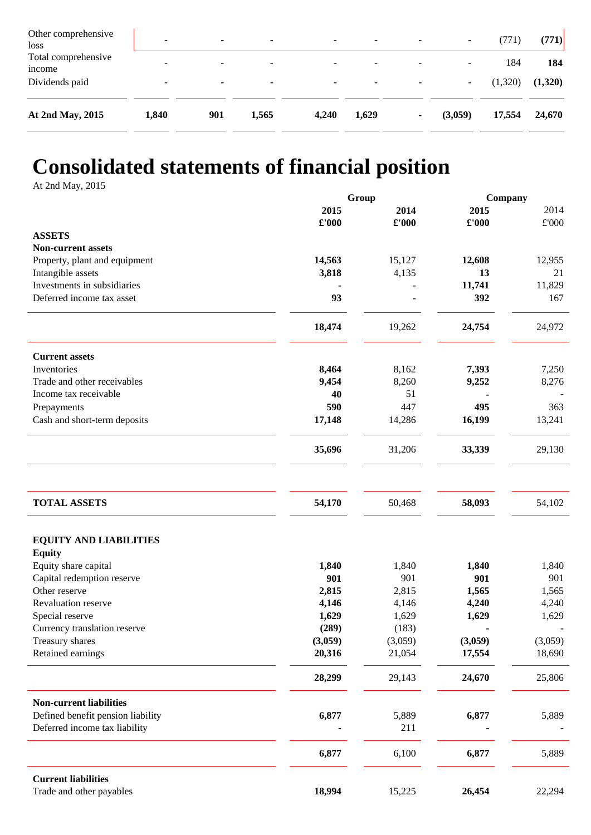| Other comprehensive<br>loss   | $\overline{\phantom{a}}$ | -                        | -                        | $\overline{\phantom{0}}$ | $\sim$                   | $\overline{\phantom{a}}$ | $\overline{\phantom{a}}$     | 771     | (771)   |
|-------------------------------|--------------------------|--------------------------|--------------------------|--------------------------|--------------------------|--------------------------|------------------------------|---------|---------|
| Total comprehensive<br>income | -                        | $\overline{\phantom{0}}$ | $\overline{\phantom{0}}$ | ۰                        | $\overline{\phantom{a}}$ | $\overline{\phantom{a}}$ | $\overline{\phantom{a}}$     | 184     | 184     |
| Dividends paid                | $\overline{\phantom{a}}$ | $\overline{\phantom{0}}$ | $\overline{\phantom{0}}$ | $\overline{\phantom{0}}$ | $\overline{\phantom{0}}$ |                          | $\qquad \qquad \blacksquare$ | (1,320) | (1,320) |
| At 2nd May, 2015              | 1,840                    | 901                      | 1,565                    | 4,240                    | 1,629                    | ۰                        | (3,059)                      | 17,554  | 24,670  |

## **Consolidated statements of financial position**

At 2nd May, 2015

|                                   | Group   |                | Company |         |  |
|-----------------------------------|---------|----------------|---------|---------|--|
|                                   | 2015    | 2014           | 2015    | 2014    |  |
|                                   | £'000   | $\pounds$ '000 | £'000   | £'000   |  |
| <b>ASSETS</b>                     |         |                |         |         |  |
| <b>Non-current assets</b>         |         |                |         |         |  |
| Property, plant and equipment     | 14,563  | 15,127         | 12,608  | 12,955  |  |
| Intangible assets                 | 3,818   | 4,135          | 13      | 21      |  |
| Investments in subsidiaries       |         |                | 11,741  | 11,829  |  |
| Deferred income tax asset         | 93      |                | 392     | 167     |  |
|                                   | 18,474  | 19,262         | 24,754  | 24,972  |  |
| <b>Current assets</b>             |         |                |         |         |  |
| Inventories                       | 8,464   | 8,162          | 7,393   | 7,250   |  |
| Trade and other receivables       | 9,454   | 8,260          | 9,252   | 8,276   |  |
| Income tax receivable             | 40      | 51             |         |         |  |
| Prepayments                       | 590     | 447            | 495     | 363     |  |
| Cash and short-term deposits      | 17,148  | 14,286         | 16,199  | 13,241  |  |
|                                   |         |                |         |         |  |
|                                   | 35,696  | 31,206         | 33,339  | 29,130  |  |
|                                   |         |                |         |         |  |
| <b>TOTAL ASSETS</b>               | 54,170  | 50,468         | 58,093  | 54,102  |  |
| <b>EQUITY AND LIABILITIES</b>     |         |                |         |         |  |
| <b>Equity</b>                     |         |                |         |         |  |
| Equity share capital              | 1,840   | 1,840          | 1,840   | 1,840   |  |
| Capital redemption reserve        | 901     | 901            | 901     | 901     |  |
| Other reserve                     | 2,815   | 2,815          | 1,565   | 1,565   |  |
| Revaluation reserve               | 4,146   | 4,146          | 4,240   | 4,240   |  |
| Special reserve                   | 1,629   | 1,629          | 1,629   | 1,629   |  |
| Currency translation reserve      | (289)   | (183)          |         |         |  |
| Treasury shares                   | (3,059) | (3,059)        | (3,059) | (3,059) |  |
| Retained earnings                 | 20,316  | 21,054         | 17,554  | 18,690  |  |
|                                   | 28,299  | 29,143         | 24,670  | 25,806  |  |
| <b>Non-current liabilities</b>    |         |                |         |         |  |
| Defined benefit pension liability | 6,877   | 5,889          | 6,877   | 5,889   |  |
| Deferred income tax liability     |         | 211            |         |         |  |
|                                   | 6,877   | 6,100          | 6,877   | 5,889   |  |
| <b>Current liabilities</b>        |         |                |         |         |  |
| Trade and other payables          | 18,994  | 15,225         | 26,454  | 22,294  |  |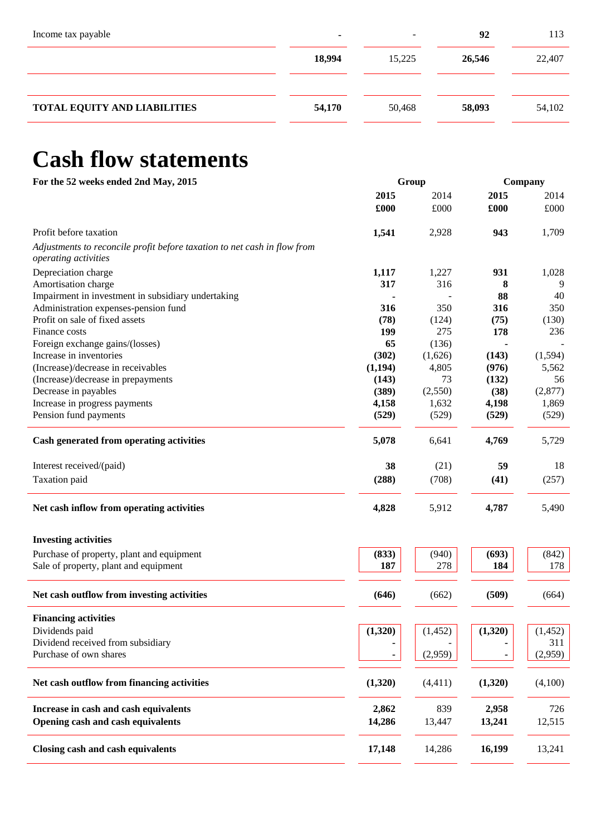| Income tax payable                  |        | -      | 92     | 113    |
|-------------------------------------|--------|--------|--------|--------|
|                                     | 18,994 | 15,225 | 26,546 | 22,407 |
|                                     |        |        |        |        |
| <b>TOTAL EQUITY AND LIABILITIES</b> | 54,170 | 50,468 | 58,093 | 54,102 |
|                                     |        |        |        |        |

# **Cash flow statements**

| For the 52 weeks ended 2nd May, 2015                                                             |          | Group    | Company |          |  |
|--------------------------------------------------------------------------------------------------|----------|----------|---------|----------|--|
|                                                                                                  | 2015     | 2014     | 2015    | 2014     |  |
|                                                                                                  | £000     | £000     | £000    | £000     |  |
| Profit before taxation                                                                           | 1,541    | 2,928    | 943     | 1,709    |  |
| Adjustments to reconcile profit before taxation to net cash in flow from<br>operating activities |          |          |         |          |  |
| Depreciation charge                                                                              | 1,117    | 1,227    | 931     | 1,028    |  |
| Amortisation charge                                                                              | 317      | 316      | 8       | 9        |  |
| Impairment in investment in subsidiary undertaking                                               |          |          | 88      | 40       |  |
| Administration expenses-pension fund                                                             | 316      | 350      | 316     | 350      |  |
| Profit on sale of fixed assets                                                                   | (78)     | (124)    | (75)    | (130)    |  |
| Finance costs                                                                                    | 199      | 275      | 178     | 236      |  |
| Foreign exchange gains/(losses)                                                                  | 65       | (136)    |         |          |  |
| Increase in inventories                                                                          | (302)    | (1,626)  | (143)   | (1,594)  |  |
| (Increase)/decrease in receivables                                                               | (1, 194) | 4,805    | (976)   | 5,562    |  |
| (Increase)/decrease in prepayments                                                               | (143)    | 73       | (132)   | 56       |  |
| Decrease in payables                                                                             | (389)    | (2,550)  | (38)    | (2,877)  |  |
| Increase in progress payments                                                                    | 4,158    | 1,632    | 4,198   | 1,869    |  |
|                                                                                                  |          |          |         |          |  |
| Pension fund payments                                                                            | (529)    | (529)    | (529)   | (529)    |  |
| Cash generated from operating activities                                                         | 5,078    | 6,641    | 4,769   | 5,729    |  |
| Interest received/(paid)                                                                         | 38       | (21)     | 59      | 18       |  |
| Taxation paid                                                                                    | (288)    | (708)    | (41)    | (257)    |  |
| Net cash inflow from operating activities                                                        | 4,828    | 5,912    | 4,787   | 5,490    |  |
| <b>Investing activities</b>                                                                      |          |          |         |          |  |
| Purchase of property, plant and equipment                                                        | (833)    | (940)    | (693)   | (842)    |  |
| Sale of property, plant and equipment                                                            | 187      | 278      | 184     | 178      |  |
|                                                                                                  |          |          |         |          |  |
| Net cash outflow from investing activities                                                       | (646)    | (662)    | (509)   | (664)    |  |
| <b>Financing activities</b>                                                                      |          |          |         |          |  |
| Dividends paid                                                                                   | (1,320)  | (1, 452) | (1,320) | (1, 452) |  |
| Dividend received from subsidiary                                                                |          |          |         | 311      |  |
| Purchase of own shares                                                                           | ٠        | (2,959)  | ٠       | (2,959)  |  |
| Net cash outflow from financing activities                                                       | (1,320)  | (4, 411) | (1,320) | (4,100)  |  |
| Increase in cash and cash equivalents                                                            | 2,862    | 839      | 2,958   | 726      |  |
| Opening cash and cash equivalents                                                                | 14,286   | 13,447   | 13,241  | 12,515   |  |
|                                                                                                  |          |          |         |          |  |
| Closing cash and cash equivalents                                                                | 17,148   | 14,286   | 16,199  | 13,241   |  |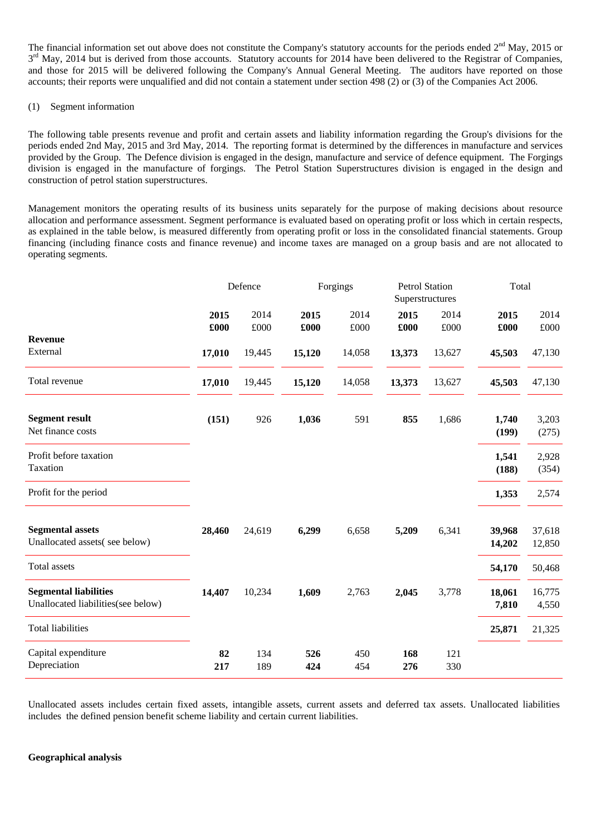The financial information set out above does not constitute the Company's statutory accounts for the periods ended 2<sup>nd</sup> May, 2015 or  $3<sup>rd</sup>$  May, 2014 but is derived from those accounts. Statutory accounts for 2014 have been delivered to the Registrar of Companies, and those for 2015 will be delivered following the Company's Annual General Meeting. The auditors have reported on those accounts; their reports were unqualified and did not contain a statement under section 498 (2) or (3) of the Companies Act 2006.

#### (1) Segment information

The following table presents revenue and profit and certain assets and liability information regarding the Group's divisions for the periods ended 2nd May, 2015 and 3rd May, 2014. The reporting format is determined by the differences in manufacture and services provided by the Group. The Defence division is engaged in the design, manufacture and service of defence equipment. The Forgings division is engaged in the manufacture of forgings. The Petrol Station Superstructures division is engaged in the design and construction of petrol station superstructures.

Management monitors the operating results of its business units separately for the purpose of making decisions about resource allocation and performance assessment. Segment performance is evaluated based on operating profit or loss which in certain respects, as explained in the table below, is measured differently from operating profit or loss in the consolidated financial statements. Group financing (including finance costs and finance revenue) and income taxes are managed on a group basis and are not allocated to operating segments.

|                                                                    |           | Defence    | Superstructures |            | <b>Petrol Station</b> |            | Forgings         |                  | Total |  |
|--------------------------------------------------------------------|-----------|------------|-----------------|------------|-----------------------|------------|------------------|------------------|-------|--|
|                                                                    | 2015      | 2014       | 2015            | 2014       | 2015                  | 2014       | 2015             | 2014             |       |  |
| <b>Revenue</b>                                                     | £000      | £000       | £000            | £000       | £000                  | £000       | £000             | £000             |       |  |
| External                                                           | 17,010    | 19,445     | 15,120          | 14,058     | 13,373                | 13,627     | 45,503           | 47,130           |       |  |
| Total revenue                                                      | 17,010    | 19,445     | 15,120          | 14,058     | 13,373                | 13,627     | 45,503           | 47,130           |       |  |
| <b>Segment result</b><br>Net finance costs                         | (151)     | 926        | 1,036           | 591        | 855                   | 1,686      | 1,740<br>(199)   | 3,203<br>(275)   |       |  |
| Profit before taxation<br>Taxation                                 |           |            |                 |            |                       |            | 1,541<br>(188)   | 2,928<br>(354)   |       |  |
| Profit for the period                                              |           |            |                 |            |                       |            | 1,353            | 2,574            |       |  |
| <b>Segmental assets</b><br>Unallocated assets(see below)           | 28,460    | 24,619     | 6,299           | 6,658      | 5,209                 | 6,341      | 39,968<br>14,202 | 37,618<br>12,850 |       |  |
| Total assets                                                       |           |            |                 |            |                       |            | 54,170           | 50,468           |       |  |
| <b>Segmental liabilities</b><br>Unallocated liabilities(see below) | 14,407    | 10,234     | 1,609           | 2,763      | 2,045                 | 3,778      | 18,061<br>7,810  | 16,775<br>4,550  |       |  |
| <b>Total liabilities</b>                                           |           |            |                 |            |                       |            | 25,871           | 21,325           |       |  |
| Capital expenditure<br>Depreciation                                | 82<br>217 | 134<br>189 | 526<br>424      | 450<br>454 | 168<br>276            | 121<br>330 |                  |                  |       |  |

Unallocated assets includes certain fixed assets, intangible assets, current assets and deferred tax assets. Unallocated liabilities includes the defined pension benefit scheme liability and certain current liabilities.

#### **Geographical analysis**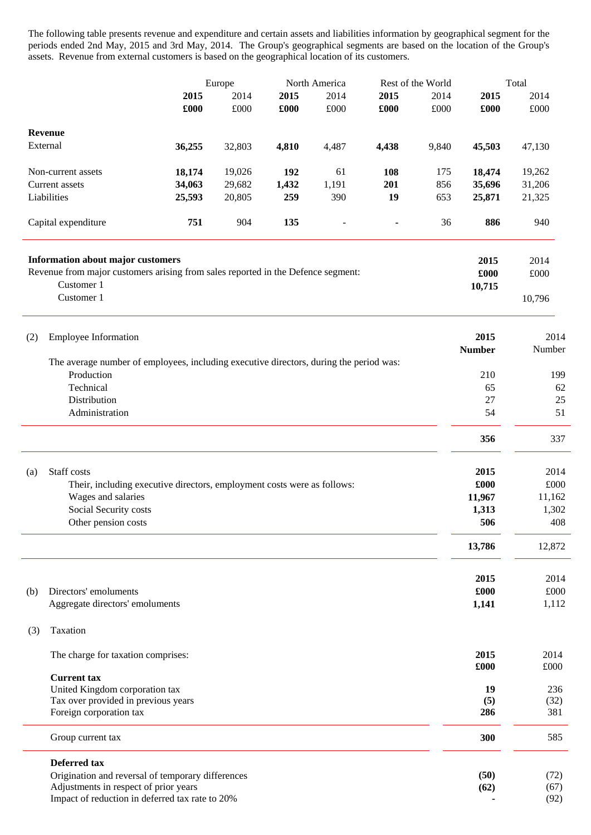The following table presents revenue and expenditure and certain assets and liabilities information by geographical segment for the periods ended 2nd May, 2015 and 3rd May, 2014. The Group's geographical segments are based on the location of the Group's assets. Revenue from external customers is based on the geographical location of its customers.

|                            |                                                                                                                                            |        | Europe |       | North America |       | Rest of the World |                        | Total          |  |
|----------------------------|--------------------------------------------------------------------------------------------------------------------------------------------|--------|--------|-------|---------------|-------|-------------------|------------------------|----------------|--|
|                            |                                                                                                                                            | 2015   | 2014   | 2015  | 2014          | 2015  | 2014              | 2015                   | 2014           |  |
|                            |                                                                                                                                            | £000   | £000   | £000  | £000          | £000  | £000              | £000                   | $\pounds000$   |  |
|                            |                                                                                                                                            |        |        |       |               |       |                   |                        |                |  |
| <b>Revenue</b><br>External |                                                                                                                                            | 36,255 | 32,803 | 4,810 | 4,487         | 4,438 | 9,840             | 45,503                 | 47,130         |  |
|                            | Non-current assets                                                                                                                         | 18,174 | 19,026 | 192   | 61            | 108   | 175               | 18,474                 | 19,262         |  |
| Current assets             |                                                                                                                                            | 34,063 | 29,682 | 1,432 | 1,191         | 201   | 856               | 35,696                 | 31,206         |  |
| Liabilities                |                                                                                                                                            | 25,593 | 20,805 | 259   | 390           | 19    | 653               | 25,871                 | 21,325         |  |
|                            |                                                                                                                                            |        |        |       |               |       |                   |                        |                |  |
|                            | Capital expenditure                                                                                                                        | 751    | 904    | 135   |               |       | 36                | 886                    | 940            |  |
|                            | <b>Information about major customers</b><br>Revenue from major customers arising from sales reported in the Defence segment:<br>Customer 1 |        |        |       |               |       |                   | 2015<br>£000<br>10,715 | 2014<br>£000   |  |
|                            | Customer 1                                                                                                                                 |        |        |       |               |       |                   |                        | 10,796         |  |
| (2)                        | <b>Employee Information</b>                                                                                                                |        |        |       |               |       |                   | 2015<br><b>Number</b>  | 2014<br>Number |  |
|                            | The average number of employees, including executive directors, during the period was:<br>Production                                       |        |        |       |               |       |                   | 210                    |                |  |
|                            | Technical                                                                                                                                  |        |        |       |               |       |                   | 65                     | 199<br>62      |  |
|                            | Distribution                                                                                                                               |        |        |       |               |       |                   | 27                     | 25             |  |
|                            | Administration                                                                                                                             |        |        |       |               |       |                   | 54                     | 51             |  |
|                            |                                                                                                                                            |        |        |       |               |       |                   |                        |                |  |
|                            |                                                                                                                                            |        |        |       |               |       |                   | 356                    | 337            |  |
|                            |                                                                                                                                            |        |        |       |               |       |                   |                        |                |  |
| (a)                        | Staff costs                                                                                                                                |        |        |       |               |       |                   | 2015<br>£000           | 2014<br>£000   |  |
|                            | Their, including executive directors, employment costs were as follows:<br>Wages and salaries                                              |        |        |       |               |       |                   | 11,967                 | 11,162         |  |
|                            | Social Security costs                                                                                                                      |        |        |       |               |       |                   | 1,313                  | 1,302          |  |
|                            | Other pension costs                                                                                                                        |        |        |       |               |       |                   | 506                    | 408            |  |
|                            |                                                                                                                                            |        |        |       |               |       |                   | 13,786                 | 12,872         |  |
|                            |                                                                                                                                            |        |        |       |               |       |                   |                        |                |  |
|                            |                                                                                                                                            |        |        |       |               |       |                   | 2015                   | 2014           |  |
| (b)                        | Directors' emoluments                                                                                                                      |        |        |       |               |       |                   | £000                   | £000           |  |
|                            | Aggregate directors' emoluments                                                                                                            |        |        |       |               |       |                   | 1,141                  | 1,112          |  |
| (3)                        | Taxation                                                                                                                                   |        |        |       |               |       |                   |                        |                |  |
|                            | The charge for taxation comprises:                                                                                                         |        |        |       |               |       |                   | 2015                   | 2014           |  |
|                            | <b>Current tax</b>                                                                                                                         |        |        |       |               |       |                   | £000                   | £000           |  |
|                            | United Kingdom corporation tax                                                                                                             |        |        |       |               |       |                   | 19                     | 236            |  |
|                            | Tax over provided in previous years                                                                                                        |        |        |       |               |       |                   | (5)                    | (32)           |  |
|                            | Foreign corporation tax                                                                                                                    |        |        |       |               |       |                   | 286                    | 381            |  |
|                            | Group current tax                                                                                                                          |        |        |       |               |       |                   | 300                    | 585            |  |
|                            | Deferred tax                                                                                                                               |        |        |       |               |       |                   |                        |                |  |
|                            | Origination and reversal of temporary differences                                                                                          |        |        |       |               |       |                   | (50)                   | (72)           |  |
|                            | Adjustments in respect of prior years<br>Impact of reduction in deferred tax rate to 20%                                                   |        |        |       |               |       |                   | (62)                   | (67)<br>(92)   |  |
|                            |                                                                                                                                            |        |        |       |               |       |                   |                        |                |  |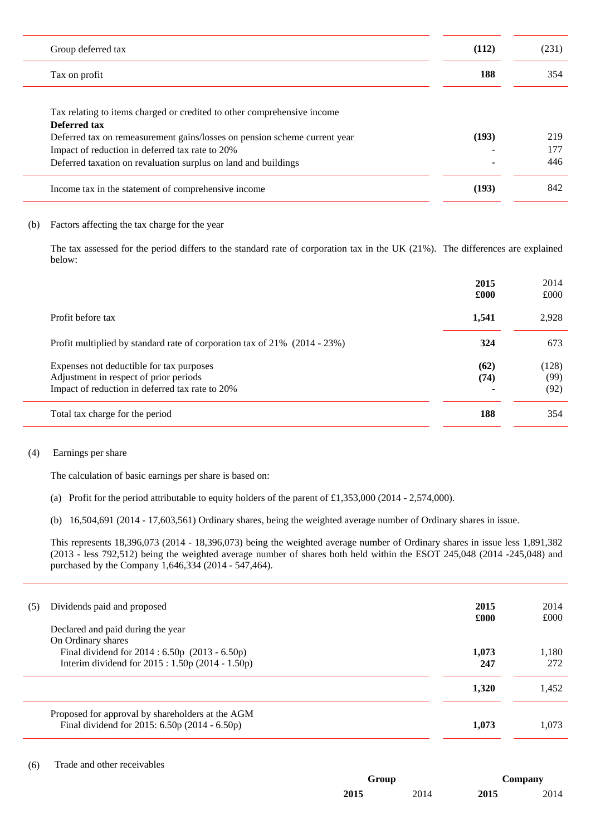| Group deferred tax                                                        | (112)          | (231) |
|---------------------------------------------------------------------------|----------------|-------|
| Tax on profit                                                             | 188            | 354   |
|                                                                           |                |       |
| Tax relating to items charged or credited to other comprehensive income   |                |       |
| Deferred tax                                                              |                |       |
| Deferred tax on remeasurement gains/losses on pension scheme current year | (193)          | 219   |
| Impact of reduction in deferred tax rate to 20%                           |                | 177   |
| Deferred taxation on revaluation surplus on land and buildings            | $\blacksquare$ | 446   |
| Income tax in the statement of comprehensive income                       | (193)          | 842   |

#### (b) Factors affecting the tax charge for the year

The tax assessed for the period differs to the standard rate of corporation tax in the UK (21%). The differences are explained below:

|                                                                                                                                       | 2015<br>£000 | 2014<br>£000          |
|---------------------------------------------------------------------------------------------------------------------------------------|--------------|-----------------------|
| Profit before tax                                                                                                                     | 1,541        | 2,928                 |
| Profit multiplied by standard rate of corporation tax of $21\%$ (2014 - 23%)                                                          | 324          | 673                   |
| Expenses not deductible for tax purposes<br>Adjustment in respect of prior periods<br>Impact of reduction in deferred tax rate to 20% | (62)<br>(74) | (128)<br>(99)<br>(92) |
| Total tax charge for the period                                                                                                       | 188          | 354                   |

#### (4) Earnings per share

The calculation of basic earnings per share is based on:

(a) Profit for the period attributable to equity holders of the parent of £1,353,000 (2014 - 2,574,000).

(b) 16,504,691 (2014 - 17,603,561) Ordinary shares, being the weighted average number of Ordinary shares in issue.

This represents 18,396,073 (2014 - 18,396,073) being the weighted average number of Ordinary shares in issue less 1,891,382 (2013 - less 792,512) being the weighted average number of shares both held within the ESOT 245,048 (2014 -245,048) and purchased by the Company 1,646,334 (2014 - 547,464).

| (5) | Dividends paid and proposed<br>Declared and paid during the year                                                           | 2015<br>£000 | 2014<br>£000 |
|-----|----------------------------------------------------------------------------------------------------------------------------|--------------|--------------|
|     | On Ordinary shares<br>Final dividend for 2014 : 6.50p (2013 - 6.50p)<br>Interim dividend for $2015 : 1.50p$ (2014 - 1.50p) | 1,073<br>247 | 1.180<br>272 |
|     |                                                                                                                            | 1,320        | 1,452        |
|     | Proposed for approval by shareholders at the AGM<br>Final dividend for 2015: 6.50p (2014 - 6.50p)                          | 1.073        | 1.073        |

#### (6) Trade and other receivables

| Group |      | Company |      |
|-------|------|---------|------|
| 2015  | 2014 | 2015    | 2014 |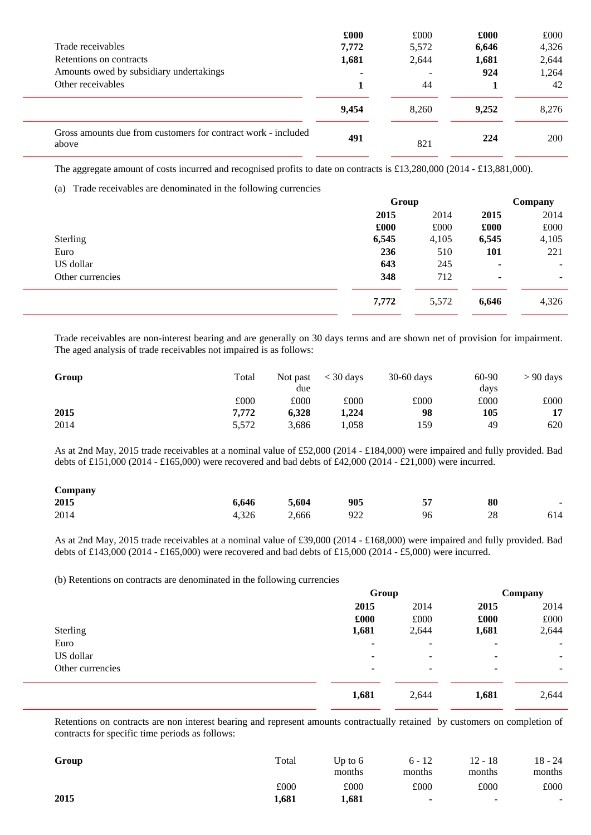|                                                                        | £000  | £000  | £000  | £000  |
|------------------------------------------------------------------------|-------|-------|-------|-------|
| Trade receivables                                                      | 7,772 | 5,572 | 6,646 | 4,326 |
| Retentions on contracts                                                | 1,681 | 2,644 | 1,681 | 2,644 |
| Amounts owed by subsidiary undertakings                                |       |       | 924   | 1,264 |
| Other receivables                                                      |       | 44    |       | 42    |
|                                                                        | 9.454 | 8.260 | 9.252 | 8.276 |
| Gross amounts due from customers for contract work - included<br>above | 491   | 821   | 224   | 200   |

The aggregate amount of costs incurred and recognised profits to date on contracts is £13,280,000 (2014 - £13,881,000).

(a) Trade receivables are denominated in the following currencies

|                  | Group |       |       | Company |  |  |
|------------------|-------|-------|-------|---------|--|--|
|                  | 2015  | 2014  | 2015  | 2014    |  |  |
|                  | £000  | £000  | £000  | £000    |  |  |
| Sterling         | 6,545 | 4,105 | 6,545 | 4,105   |  |  |
| Euro             | 236   | 510   | 101   | 221     |  |  |
| US dollar        | 643   | 245   | ۰     | ۰.      |  |  |
| Other currencies | 348   | 712   | ٠     | ۰.      |  |  |
|                  | 7,772 | 5,572 | 6,646 | 4,326   |  |  |

Trade receivables are non-interest bearing and are generally on 30 days terms and are shown net of provision for impairment. The aged analysis of trade receivables not impaired is as follows:

| Group | Total | Not past | $<$ 30 days | $30-60$ days | 60-90 | $> 90$ days |
|-------|-------|----------|-------------|--------------|-------|-------------|
|       |       | due      |             |              | days  |             |
|       | £000  | £000     | £000        | £000         | £000  | £000        |
| 2015  | 7.772 | 6.328    | 1,224       | 98           | 105   | 17          |
| 2014  | 5,572 | 3,686    | 1,058       | 159          | 49    | 620         |

As at 2nd May, 2015 trade receivables at a nominal value of £52,000 (2014 - £184,000) were impaired and fully provided. Bad debts of £151,000 (2014 - £165,000) were recovered and bad debts of £42,000 (2014 - £21,000) were incurred.

| $\mathcal{L}$ ompany |       |       |     |     |    |                          |
|----------------------|-------|-------|-----|-----|----|--------------------------|
| 2015                 | 6,646 | 5,604 | 905 | E 7 | 80 | $\overline{\phantom{0}}$ |
| 2014                 | 4.326 | 2,666 | 922 | 96  | 28 | 614                      |

As at 2nd May, 2015 trade receivables at a nominal value of £39,000 (2014 - £168,000) were impaired and fully provided. Bad debts of £143,000 (2014 - £165,000) were recovered and bad debts of £15,000 (2014 - £5,000) were incurred.

(b) Retentions on contracts are denominated in the following currencies

|                  | Group                    |                          | Company        |        |
|------------------|--------------------------|--------------------------|----------------|--------|
|                  | 2015                     | 2014                     | 2015           | 2014   |
|                  | £000                     | £000                     | £000           | £000   |
| Sterling         | 1,681                    | 2,644                    | 1,681          | 2,644  |
| Euro             | ۰                        | $\overline{\phantom{m}}$ | ٠              | $\sim$ |
| US dollar        | ۰                        | $\overline{\phantom{m}}$ | ٠              | ۰.     |
| Other currencies | $\overline{\phantom{a}}$ | $\overline{\phantom{m}}$ | $\blacksquare$ | ۰.     |
|                  | 1,681                    | 2,644                    | 1,681          | 2,644  |

Retentions on contracts are non interest bearing and represent amounts contractually retained by customers on completion of contracts for specific time periods as follows:

| Group | Total | Up to $6$<br>months | $6 - 12$<br>months | 12 - 18<br>months | 18 - 24<br>months |
|-------|-------|---------------------|--------------------|-------------------|-------------------|
|       | £000  | £000                | £000               | £000              | £000              |
| 2015  | 1,681 | 1,681               |                    | -                 | $\sim$            |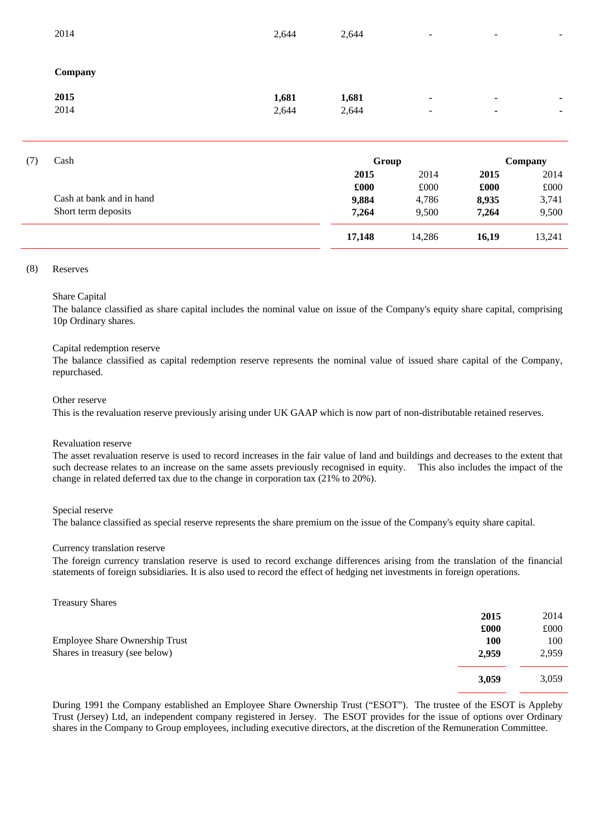| 2014    | 2,644 | 2,644 | $\overline{\phantom{a}}$ | $\overline{\phantom{a}}$ | $\overline{\phantom{a}}$ |
|---------|-------|-------|--------------------------|--------------------------|--------------------------|
| Company |       |       |                          |                          |                          |
| 2015    | 1,681 | 1,681 | ٠                        | $\blacksquare$           |                          |
| 2014    | 2,644 | 2,644 |                          |                          |                          |

| (7) | Cash                     | Group  | Company |       |        |
|-----|--------------------------|--------|---------|-------|--------|
|     |                          | 2015   | 2014    | 2015  | 2014   |
|     |                          | £000   | £000    | £000  | £000   |
|     | Cash at bank and in hand | 9,884  | 4,786   | 8,935 | 3,741  |
|     | Short term deposits      | 7,264  | 9,500   | 7,264 | 9,500  |
|     |                          | 17,148 | 14,286  | 16,19 | 13,241 |

#### (8) Reserves

#### Share Capital

The balance classified as share capital includes the nominal value on issue of the Company's equity share capital, comprising 10p Ordinary shares.

#### Capital redemption reserve

The balance classified as capital redemption reserve represents the nominal value of issued share capital of the Company, repurchased.

#### Other reserve

This is the revaluation reserve previously arising under UK GAAP which is now part of non-distributable retained reserves.

#### Revaluation reserve

The asset revaluation reserve is used to record increases in the fair value of land and buildings and decreases to the extent that such decrease relates to an increase on the same assets previously recognised in equity. This also includes the impact of the change in related deferred tax due to the change in corporation tax (21% to 20%).

#### Special reserve

The balance classified as special reserve represents the share premium on the issue of the Company's equity share capital.

#### Currency translation reserve

The foreign currency translation reserve is used to record exchange differences arising from the translation of the financial statements of foreign subsidiaries. It is also used to record the effect of hedging net investments in foreign operations.

#### Treasury Shares

|                                | 2015       | 2014  |
|--------------------------------|------------|-------|
|                                | £000       | £000  |
| Employee Share Ownership Trust | <b>100</b> | 100   |
| Shares in treasury (see below) | 2,959      | 2,959 |
|                                | 3,059      | 3,059 |

During 1991 the Company established an Employee Share Ownership Trust ("ESOT"). The trustee of the ESOT is Appleby Trust (Jersey) Ltd, an independent company registered in Jersey. The ESOT provides for the issue of options over Ordinary shares in the Company to Group employees, including executive directors, at the discretion of the Remuneration Committee.